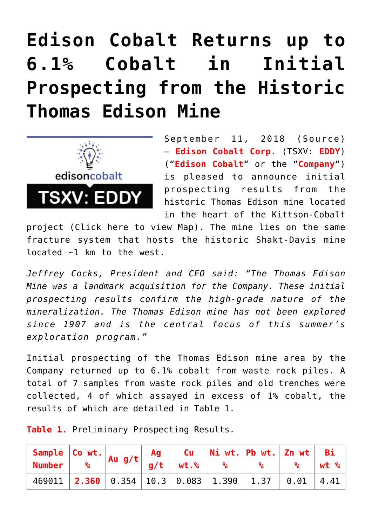## **[Edison Cobalt Returns up to](https://investorintel.com/markets/technology-metals/technology-metals-news/edison-cobalt-returns-6-1-cobalt-initial-prospecting-historic-thomas-edison-mine/) [6.1% Cobalt in Initial](https://investorintel.com/markets/technology-metals/technology-metals-news/edison-cobalt-returns-6-1-cobalt-initial-prospecting-historic-thomas-edison-mine/) [Prospecting from the Historic](https://investorintel.com/markets/technology-metals/technology-metals-news/edison-cobalt-returns-6-1-cobalt-initial-prospecting-historic-thomas-edison-mine/) [Thomas Edison Mine](https://investorintel.com/markets/technology-metals/technology-metals-news/edison-cobalt-returns-6-1-cobalt-initial-prospecting-historic-thomas-edison-mine/)**



September 11, 2018 ([Source\)](https://investorintel.com/iintel-members/edison-cobalt-corp/) — **Edison Cobalt Corp.** (TSXV: **EDDY**) ("**Edison Cobalt**" or the "**Company**") is pleased to announce initial prospecting results from the historic Thomas Edison mine located in the heart of the Kittson-Cobalt

project [\(Click here to view Map\).](http://edisoncobalt.com/figures-from-press-releases/) The mine lies on the same fracture system that hosts the historic Shakt-Davis mine located ~1 km to the west.

*Jeffrey Cocks, President and CEO said: "The Thomas Edison Mine was a landmark acquisition for the Company. These initial prospecting results confirm the high-grade nature of the mineralization. The Thomas Edison mine has not been explored since 1907 and is the central focus of this summer's exploration program."*

Initial prospecting of the Thomas Edison mine area by the Company returned up to 6.1% cobalt from waste rock piles. A total of 7 samples from waste rock piles and old trenches were collected, 4 of which assayed in excess of 1% cobalt, the results of which are detailed in Table 1.

**Table 1.** Preliminary Prospecting Results.

|                                                                    |  | Sample Co wt. $\begin{array}{ c c c c c c }\hline \text{Sample} & \text{Co} & \text{wt.} & \text{Au} & \text{gtt} & \text{Ag} & \text{Cu} & \text{Ni} & \text{wt.} & \text{Pb} & \text{wt.} & \text{Zn} & \text{wt} & \text{Bi} \ \hline \text{Number} & & & & \text{g/t} & \text{wt.}\% & & & \text{g/t} & & \text{w.t.}\end{array}$ |  |  |  |
|--------------------------------------------------------------------|--|---------------------------------------------------------------------------------------------------------------------------------------------------------------------------------------------------------------------------------------------------------------------------------------------------------------------------------------|--|--|--|
|                                                                    |  |                                                                                                                                                                                                                                                                                                                                       |  |  |  |
| 469011   2.360   0.354   10.3   0.083   1.390   1.37   0.01   4.41 |  |                                                                                                                                                                                                                                                                                                                                       |  |  |  |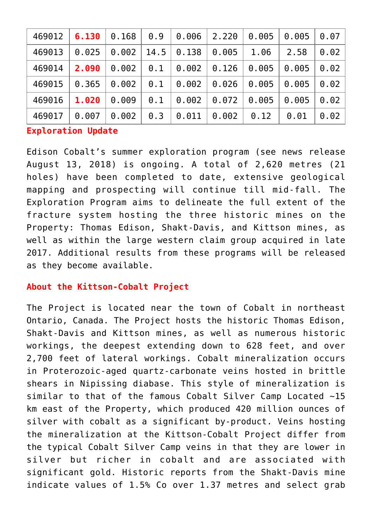| 469012 | 6.130 | 0.168 | 0.9  | 0.006 | 2.220 | 0.005 | 0.005 | 0.07 |
|--------|-------|-------|------|-------|-------|-------|-------|------|
| 469013 | 0.025 | 0.002 | 14.5 | 0.138 | 0.005 | 1.06  | 2.58  | 0.02 |
| 469014 | 2.090 | 0.002 | 0.1  | 0.002 | 0.126 | 0.005 | 0.005 | 0.02 |
| 469015 | 0.365 | 0.002 | 0.1  | 0.002 | 0.026 | 0.005 | 0.005 | 0.02 |
| 469016 | 1.020 | 0.009 | 0.1  | 0.002 | 0.072 | 0.005 | 0.005 | 0.02 |
| 469017 | 0.007 | 0.002 | 0.3  | 0.011 | 0.002 | 0.12  | 0.01  | 0.02 |

**Exploration Update**

Edison Cobalt's summer exploration program (see news release August 13, 2018) is ongoing. A total of 2,620 metres (21 holes) have been completed to date, extensive geological mapping and prospecting will continue till mid-fall. The Exploration Program aims to delineate the full extent of the fracture system hosting the three historic mines on the Property: Thomas Edison, Shakt-Davis, and Kittson mines, as well as within the large western claim group acquired in late 2017. Additional results from these programs will be released as they become available.

## **About the Kittson-Cobalt Project**

The Project is located near the town of Cobalt in northeast Ontario, Canada. The Project hosts the historic Thomas Edison, Shakt-Davis and Kittson mines, as well as numerous historic workings, the deepest extending down to 628 feet, and over 2,700 feet of lateral workings. Cobalt mineralization occurs in Proterozoic-aged quartz-carbonate veins hosted in brittle shears in Nipissing diabase. This style of mineralization is similar to that of the famous Cobalt Silver Camp Located ~15 km east of the Property, which produced 420 million ounces of silver with cobalt as a significant by-product. Veins hosting the mineralization at the Kittson-Cobalt Project differ from the typical Cobalt Silver Camp veins in that they are lower in silver but richer in cobalt and are associated with significant gold. Historic reports from the Shakt-Davis mine indicate values of 1.5% Co over 1.37 metres and select grab